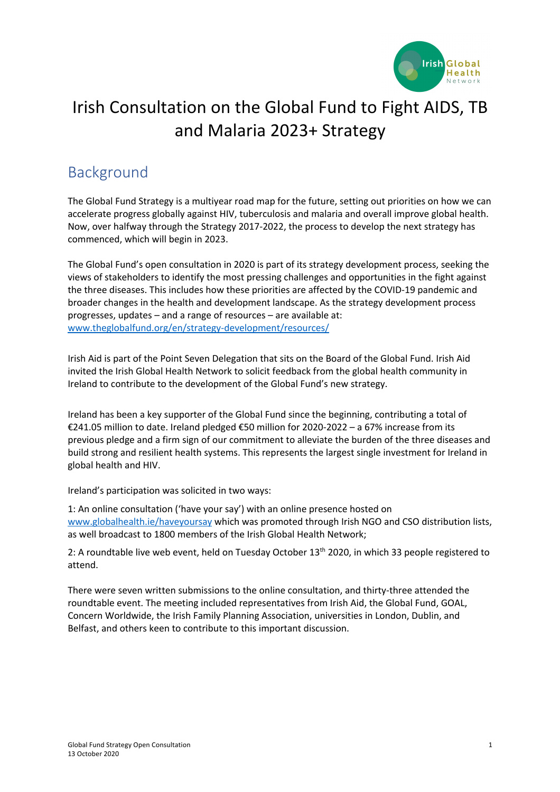

# Irish Consultation on the Global Fund to Fight AIDS, TB and Malaria 2023+ Strategy

## Background

The Global Fund Strategy is a multiyear road map for the future, setting out priorities on how we can accelerate progress globally against HIV, tuberculosis and malaria and overall improve global health. Now, over halfway through the Strategy 2017-2022, the process to develop the next strategy has commenced, which will begin in 2023.

The Global Fund's open consultation in 2020 is part of its strategy development process, seeking the views of stakeholders to identify the most pressing challenges and opportunities in the fight against the three diseases. This includes how these priorities are affected by the COVID-19 pandemic and broader changes in the health and development landscape. As the strategy development process progresses, updates – and a range of resources – are available at: www.theglobalfund.org/en/strategy-development/resources/

Irish Aid is part of the Point Seven Delegation that sits on the Board of the Global Fund. Irish Aid invited the Irish Global Health Network to solicit feedback from the global health community in Ireland to contribute to the development of the Global Fund's new strategy.

Ireland has been a key supporter of the Global Fund since the beginning, contributing a total of €241.05 million to date. Ireland pledged €50 million for 2020-2022 – a 67% increase from its previous pledge and a firm sign of our commitment to alleviate the burden of the three diseases and build strong and resilient health systems. This represents the largest single investment for Ireland in global health and HIV.

Ireland's participation was solicited in two ways:

1: An online consultation ('have your say') with an online presence hosted on www.globalhealth.ie/haveyoursay which was promoted through Irish NGO and CSO distribution lists, as well broadcast to 1800 members of the Irish Global Health Network;

2: A roundtable live web event, held on Tuesday October 13<sup>th</sup> 2020, in which 33 people registered to attend.

There were seven written submissions to the online consultation, and thirty-three attended the roundtable event. The meeting included representatives from Irish Aid, the Global Fund, GOAL, Concern Worldwide, the Irish Family Planning Association, universities in London, Dublin, and Belfast, and others keen to contribute to this important discussion.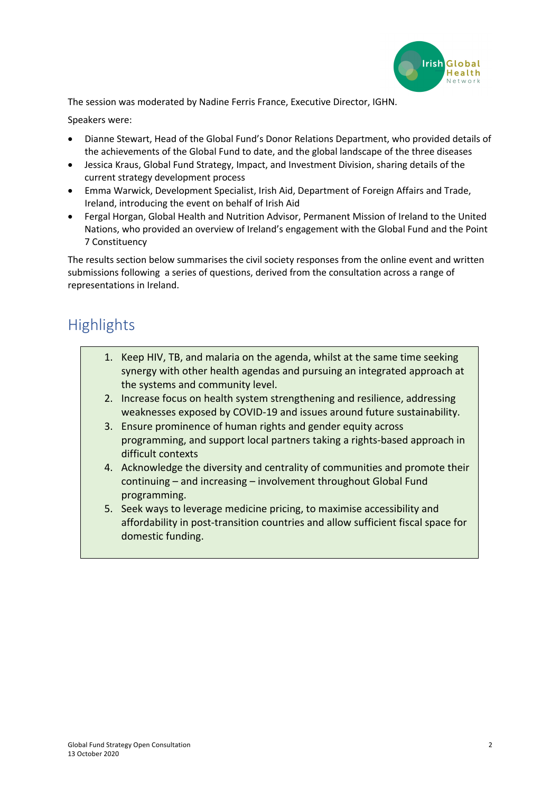

The session was moderated by Nadine Ferris France, Executive Director, IGHN.

Speakers were:

- Dianne Stewart, Head of the Global Fund's Donor Relations Department, who provided details of the achievements of the Global Fund to date, and the global landscape of the three diseases
- Jessica Kraus, Global Fund Strategy, Impact, and Investment Division, sharing details of the current strategy development process
- Emma Warwick, Development Specialist, Irish Aid, Department of Foreign Affairs and Trade, Ireland, introducing the event on behalf of Irish Aid
- Fergal Horgan, Global Health and Nutrition Advisor, Permanent Mission of Ireland to the United Nations, who provided an overview of Ireland's engagement with the Global Fund and the Point 7 Constituency

The results section below summarises the civil society responses from the online event and written submissions following a series of questions, derived from the consultation across a range of representations in Ireland.

## **Highlights**

- 1. Keep HIV, TB, and malaria on the agenda, whilst at the same time seeking synergy with other health agendas and pursuing an integrated approach at the systems and community level.
- 2. Increase focus on health system strengthening and resilience, addressing weaknesses exposed by COVID-19 and issues around future sustainability.
- 3. Ensure prominence of human rights and gender equity across programming, and support local partners taking a rights-based approach in difficult contexts
- 4. Acknowledge the diversity and centrality of communities and promote their continuing – and increasing – involvement throughout Global Fund programming.
- 5. Seek ways to leverage medicine pricing, to maximise accessibility and affordability in post-transition countries and allow sufficient fiscal space for domestic funding.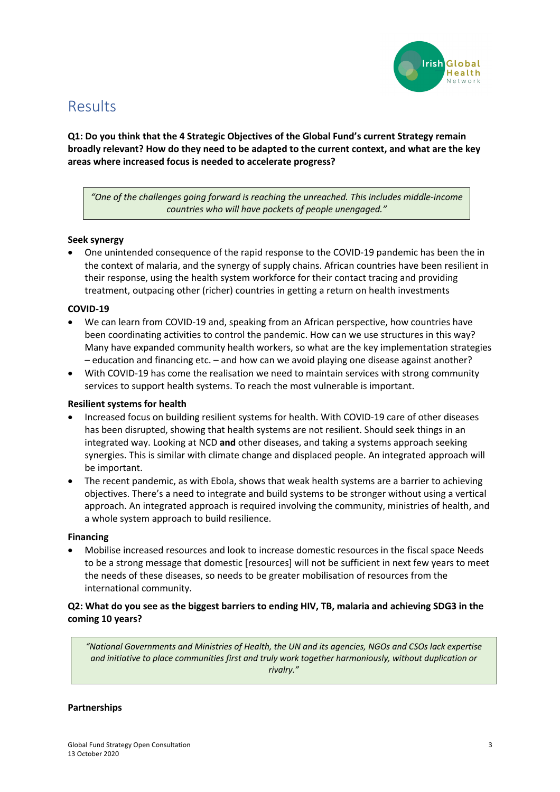

## Results

**Q1: Do you think that the 4 Strategic Objectives of the Global Fund's current Strategy remain broadly relevant? How do they need to be adapted to the current context, and what are the key areas where increased focus is needed to accelerate progress?**

*"One of the challenges going forward is reaching the unreached. This includes middle-income countries who will have pockets of people unengaged."*

## **Seek synergy**

• One unintended consequence of the rapid response to the COVID-19 pandemic has been the in the context of malaria, and the synergy of supply chains. African countries have been resilient in their response, using the health system workforce for their contact tracing and providing treatment, outpacing other (richer) countries in getting a return on health investments

#### **COVID-19**

- We can learn from COVID-19 and, speaking from an African perspective, how countries have been coordinating activities to control the pandemic. How can we use structures in this way? Many have expanded community health workers, so what are the key implementation strategies – education and financing etc. – and how can we avoid playing one disease against another?
- With COVID-19 has come the realisation we need to maintain services with strong community services to support health systems. To reach the most vulnerable is important.

#### **Resilient systems for health**

- Increased focus on building resilient systems for health. With COVID-19 care of other diseases has been disrupted, showing that health systems are not resilient. Should seek things in an integrated way. Looking at NCD **and** other diseases, and taking a systems approach seeking synergies. This is similar with climate change and displaced people. An integrated approach will be important.
- The recent pandemic, as with Ebola, shows that weak health systems are a barrier to achieving objectives. There's a need to integrate and build systems to be stronger without using a vertical approach. An integrated approach is required involving the community, ministries of health, and a whole system approach to build resilience.

#### **Financing**

• Mobilise increased resources and look to increase domestic resources in the fiscal space Needs to be a strong message that domestic [resources] will not be sufficient in next few years to meet the needs of these diseases, so needs to be greater mobilisation of resources from the international community.

## **Q2: What do you see as the biggest barriers to ending HIV, TB, malaria and achieving SDG3 in the coming 10 years?**

*"National Governments and Ministries of Health, the UN and its agencies, NGOs and CSOs lack expertise and initiative to place communities first and truly work together harmoniously, without duplication or rivalry."*

#### **Partnerships**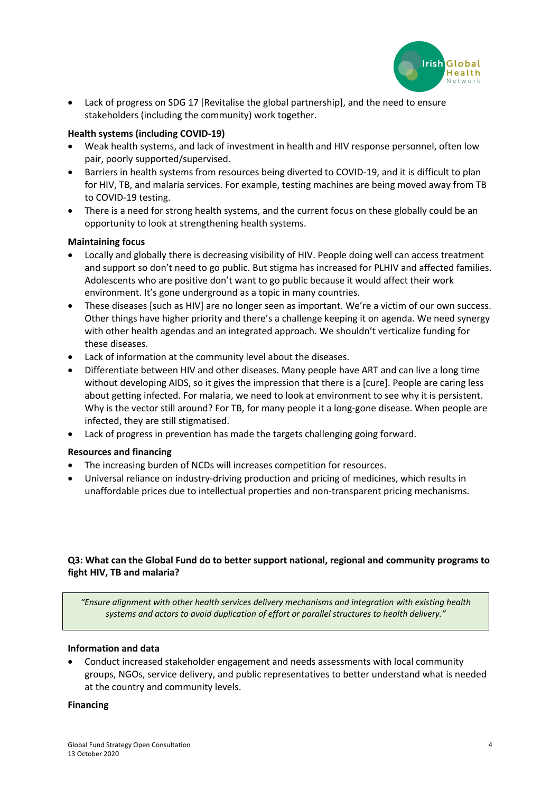

Lack of progress on SDG 17 [Revitalise the global partnership], and the need to ensure stakeholders (including the community) work together.

## **Health systems (including COVID-19)**

- Weak health systems, and lack of investment in health and HIV response personnel, often low pair, poorly supported/supervised.
- Barriers in health systems from resources being diverted to COVID-19, and it is difficult to plan for HIV, TB, and malaria services. For example, testing machines are being moved away from TB to COVID-19 testing.
- There is a need for strong health systems, and the current focus on these globally could be an opportunity to look at strengthening health systems.

#### **Maintaining focus**

- Locally and globally there is decreasing visibility of HIV. People doing well can access treatment and support so don't need to go public. But stigma has increased for PLHIV and affected families. Adolescents who are positive don't want to go public because it would affect their work environment. It's gone underground as a topic in many countries.
- These diseases [such as HIV] are no longer seen as important. We're a victim of our own success. Other things have higher priority and there's a challenge keeping it on agenda. We need synergy with other health agendas and an integrated approach. We shouldn't verticalize funding for these diseases.
- Lack of information at the community level about the diseases.
- Differentiate between HIV and other diseases. Many people have ART and can live a long time without developing AIDS, so it gives the impression that there is a [cure]. People are caring less about getting infected. For malaria, we need to look at environment to see why it is persistent. Why is the vector still around? For TB, for many people it a long-gone disease. When people are infected, they are still stigmatised.
- Lack of progress in prevention has made the targets challenging going forward.

#### **Resources and financing**

- The increasing burden of NCDs will increases competition for resources.
- Universal reliance on industry-driving production and pricing of medicines, which results in unaffordable prices due to intellectual properties and non-transparent pricing mechanisms.

## **Q3: What can the Global Fund do to better support national, regional and community programs to fight HIV, TB and malaria?**

*"Ensure alignment with other health services delivery mechanisms and integration with existing health systems and actors to avoid duplication of effort or parallel structures to health delivery."*

#### **Information and data**

• Conduct increased stakeholder engagement and needs assessments with local community groups, NGOs, service delivery, and public representatives to better understand what is needed at the country and community levels.

#### **Financing**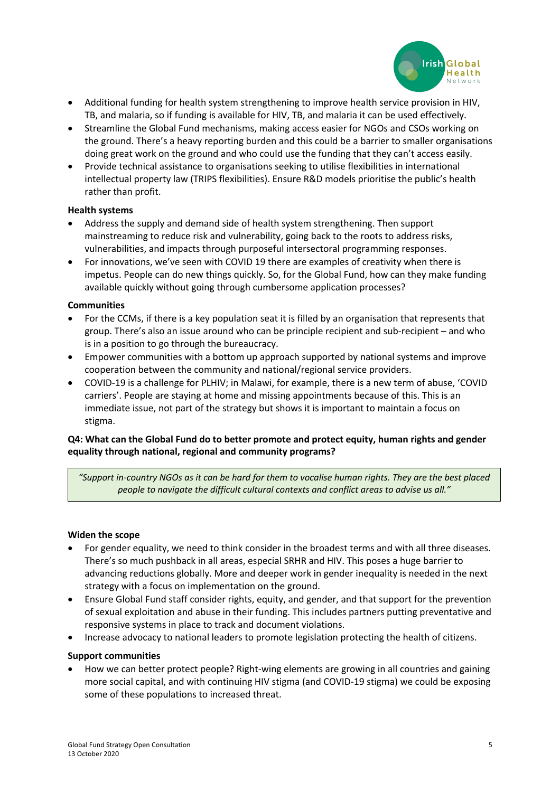

- Additional funding for health system strengthening to improve health service provision in HIV, TB, and malaria, so if funding is available for HIV, TB, and malaria it can be used effectively.
- Streamline the Global Fund mechanisms, making access easier for NGOs and CSOs working on the ground. There's a heavy reporting burden and this could be a barrier to smaller organisations doing great work on the ground and who could use the funding that they can't access easily.
- Provide technical assistance to organisations seeking to utilise flexibilities in international intellectual property law (TRIPS flexibilities). Ensure R&D models prioritise the public's health rather than profit.

## **Health systems**

- Address the supply and demand side of health system strengthening. Then support mainstreaming to reduce risk and vulnerability, going back to the roots to address risks, vulnerabilities, and impacts through purposeful intersectoral programming responses.
- For innovations, we've seen with COVID 19 there are examples of creativity when there is impetus. People can do new things quickly. So, for the Global Fund, how can they make funding available quickly without going through cumbersome application processes?

## **Communities**

- For the CCMs, if there is a key population seat it is filled by an organisation that represents that group. There's also an issue around who can be principle recipient and sub-recipient – and who is in a position to go through the bureaucracy.
- Empower communities with a bottom up approach supported by national systems and improve cooperation between the community and national/regional service providers.
- COVID-19 is a challenge for PLHIV; in Malawi, for example, there is a new term of abuse, 'COVID carriers'. People are staying at home and missing appointments because of this. This is an immediate issue, not part of the strategy but shows it is important to maintain a focus on stigma.

## **Q4: What can the Global Fund do to better promote and protect equity, human rights and gender equality through national, regional and community programs?**

*"Support in-country NGOs as it can be hard for them to vocalise human rights. They are the best placed people to navigate the difficult cultural contexts and conflict areas to advise us all."*

#### **Widen the scope**

- For gender equality, we need to think consider in the broadest terms and with all three diseases. There's so much pushback in all areas, especial SRHR and HIV. This poses a huge barrier to advancing reductions globally. More and deeper work in gender inequality is needed in the next strategy with a focus on implementation on the ground.
- Ensure Global Fund staff consider rights, equity, and gender, and that support for the prevention of sexual exploitation and abuse in their funding. This includes partners putting preventative and responsive systems in place to track and document violations.
- Increase advocacy to national leaders to promote legislation protecting the health of citizens.

#### **Support communities**

• How we can better protect people? Right-wing elements are growing in all countries and gaining more social capital, and with continuing HIV stigma (and COVID-19 stigma) we could be exposing some of these populations to increased threat.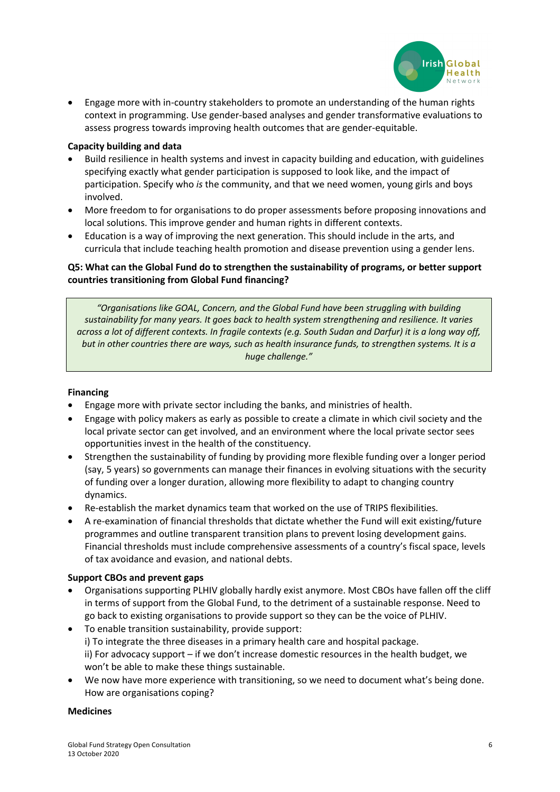

• Engage more with in-country stakeholders to promote an understanding of the human rights context in programming. Use gender-based analyses and gender transformative evaluations to assess progress towards improving health outcomes that are gender-equitable.

## **Capacity building and data**

- Build resilience in health systems and invest in capacity building and education, with guidelines specifying exactly what gender participation is supposed to look like, and the impact of participation. Specify who *is* the community, and that we need women, young girls and boys involved.
- More freedom to for organisations to do proper assessments before proposing innovations and local solutions. This improve gender and human rights in different contexts.
- Education is a way of improving the next generation. This should include in the arts, and curricula that include teaching health promotion and disease prevention using a gender lens.

## **Q5: What can the Global Fund do to strengthen the sustainability of programs, or better support countries transitioning from Global Fund financing?**

*"Organisations like GOAL, Concern, and the Global Fund have been struggling with building sustainability for many years. It goes back to health system strengthening and resilience. It varies across a lot of different contexts. In fragile contexts (e.g. South Sudan and Darfur) it is a long way off, but in other countries there are ways, such as health insurance funds, to strengthen systems. It is a huge challenge."*

#### **Financing**

- Engage more with private sector including the banks, and ministries of health.
- Engage with policy makers as early as possible to create a climate in which civil society and the local private sector can get involved, and an environment where the local private sector sees opportunities invest in the health of the constituency.
- Strengthen the sustainability of funding by providing more flexible funding over a longer period (say, 5 years) so governments can manage their finances in evolving situations with the security of funding over a longer duration, allowing more flexibility to adapt to changing country dynamics.
- Re-establish the market dynamics team that worked on the use of TRIPS flexibilities.
- A re-examination of financial thresholds that dictate whether the Fund will exit existing/future programmes and outline transparent transition plans to prevent losing development gains. Financial thresholds must include comprehensive assessments of a country's fiscal space, levels of tax avoidance and evasion, and national debts.

#### **Support CBOs and prevent gaps**

- Organisations supporting PLHIV globally hardly exist anymore. Most CBOs have fallen off the cliff in terms of support from the Global Fund, to the detriment of a sustainable response. Need to go back to existing organisations to provide support so they can be the voice of PLHIV.
- To enable transition sustainability, provide support: i) To integrate the three diseases in a primary health care and hospital package. ii) For advocacy support – if we don't increase domestic resources in the health budget, we won't be able to make these things sustainable.
- We now have more experience with transitioning, so we need to document what's being done. How are organisations coping?

#### **Medicines**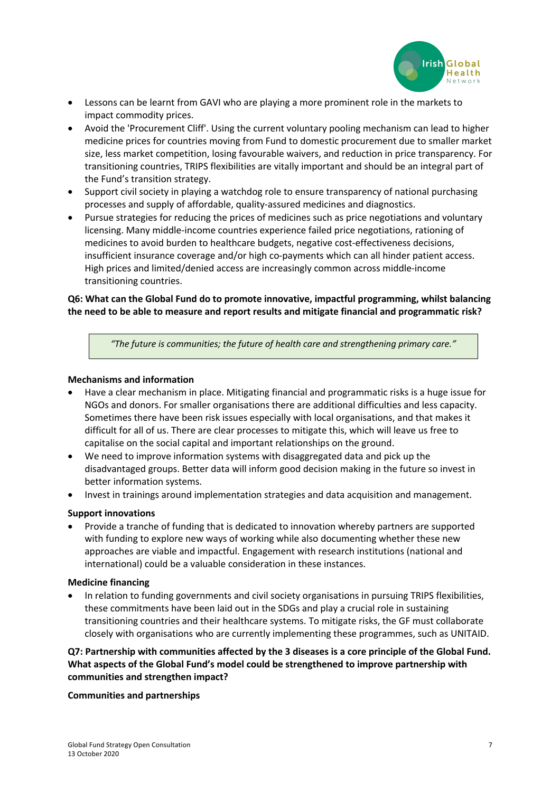

- Lessons can be learnt from GAVI who are playing a more prominent role in the markets to impact commodity prices.
- Avoid the 'Procurement Cliff'. Using the current voluntary pooling mechanism can lead to higher medicine prices for countries moving from Fund to domestic procurement due to smaller market size, less market competition, losing favourable waivers, and reduction in price transparency. For transitioning countries, TRIPS flexibilities are vitally important and should be an integral part of the Fund's transition strategy.
- Support civil society in playing a watchdog role to ensure transparency of national purchasing processes and supply of affordable, quality-assured medicines and diagnostics.
- Pursue strategies for reducing the prices of medicines such as price negotiations and voluntary licensing. Many middle-income countries experience failed price negotiations, rationing of medicines to avoid burden to healthcare budgets, negative cost-effectiveness decisions, insufficient insurance coverage and/or high co-payments which can all hinder patient access. High prices and limited/denied access are increasingly common across middle-income transitioning countries.

## **Q6: What can the Global Fund do to promote innovative, impactful programming, whilst balancing the need to be able to measure and report results and mitigate financial and programmatic risk?**

*"The future is communities; the future of health care and strengthening primary care."*

## **Mechanisms and information**

- Have a clear mechanism in place. Mitigating financial and programmatic risks is a huge issue for NGOs and donors. For smaller organisations there are additional difficulties and less capacity. Sometimes there have been risk issues especially with local organisations, and that makes it difficult for all of us. There are clear processes to mitigate this, which will leave us free to capitalise on the social capital and important relationships on the ground.
- We need to improve information systems with disaggregated data and pick up the disadvantaged groups. Better data will inform good decision making in the future so invest in better information systems.
- Invest in trainings around implementation strategies and data acquisition and management.

## **Support innovations**

• Provide a tranche of funding that is dedicated to innovation whereby partners are supported with funding to explore new ways of working while also documenting whether these new approaches are viable and impactful. Engagement with research institutions (national and international) could be a valuable consideration in these instances.

#### **Medicine financing**

In relation to funding governments and civil society organisations in pursuing TRIPS flexibilities, these commitments have been laid out in the SDGs and play a crucial role in sustaining transitioning countries and their healthcare systems. To mitigate risks, the GF must collaborate closely with organisations who are currently implementing these programmes, such as UNITAID.

## **Q7: Partnership with communities affected by the 3 diseases is a core principle of the Global Fund. What aspects of the Global Fund's model could be strengthened to improve partnership with communities and strengthen impact?**

#### **Communities and partnerships**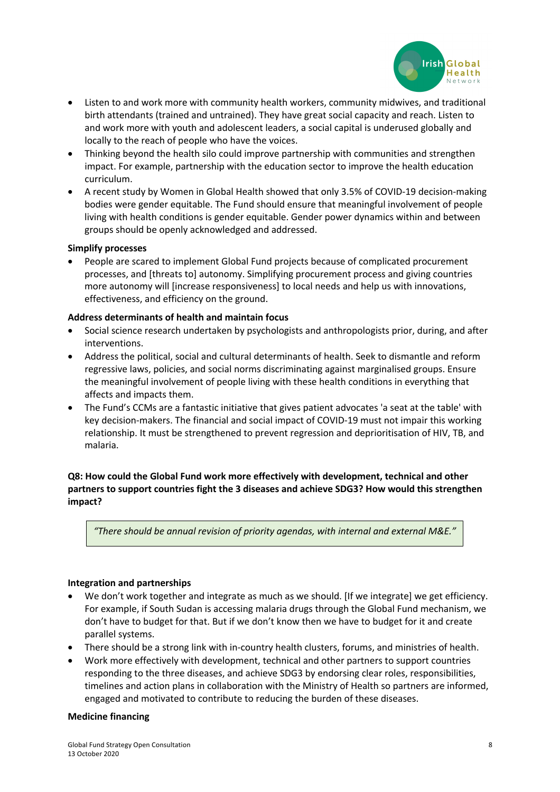

- Listen to and work more with community health workers, community midwives, and traditional birth attendants (trained and untrained). They have great social capacity and reach. Listen to and work more with youth and adolescent leaders, a social capital is underused globally and locally to the reach of people who have the voices.
- Thinking beyond the health silo could improve partnership with communities and strengthen impact. For example, partnership with the education sector to improve the health education curriculum.
- A recent study by Women in Global Health showed that only 3.5% of COVID-19 decision-making bodies were gender equitable. The Fund should ensure that meaningful involvement of people living with health conditions is gender equitable. Gender power dynamics within and between groups should be openly acknowledged and addressed.

#### **Simplify processes**

• People are scared to implement Global Fund projects because of complicated procurement processes, and [threats to] autonomy. Simplifying procurement process and giving countries more autonomy will [increase responsiveness] to local needs and help us with innovations, effectiveness, and efficiency on the ground.

#### **Address determinants of health and maintain focus**

- Social science research undertaken by psychologists and anthropologists prior, during, and after interventions.
- Address the political, social and cultural determinants of health. Seek to dismantle and reform regressive laws, policies, and social norms discriminating against marginalised groups. Ensure the meaningful involvement of people living with these health conditions in everything that affects and impacts them.
- The Fund's CCMs are a fantastic initiative that gives patient advocates 'a seat at the table' with key decision-makers. The financial and social impact of COVID-19 must not impair this working relationship. It must be strengthened to prevent regression and deprioritisation of HIV, TB, and malaria.

## **Q8: How could the Global Fund work more effectively with development, technical and other partners to support countries fight the 3 diseases and achieve SDG3? How would this strengthen impact?**

*"There should be annual revision of priority agendas, with internal and external M&E."*

#### **Integration and partnerships**

- We don't work together and integrate as much as we should. [If we integrate] we get efficiency. For example, if South Sudan is accessing malaria drugs through the Global Fund mechanism, we don't have to budget for that. But if we don't know then we have to budget for it and create parallel systems.
- There should be a strong link with in-country health clusters, forums, and ministries of health.
- Work more effectively with development, technical and other partners to support countries responding to the three diseases, and achieve SDG3 by endorsing clear roles, responsibilities, timelines and action plans in collaboration with the Ministry of Health so partners are informed, engaged and motivated to contribute to reducing the burden of these diseases.

#### **Medicine financing**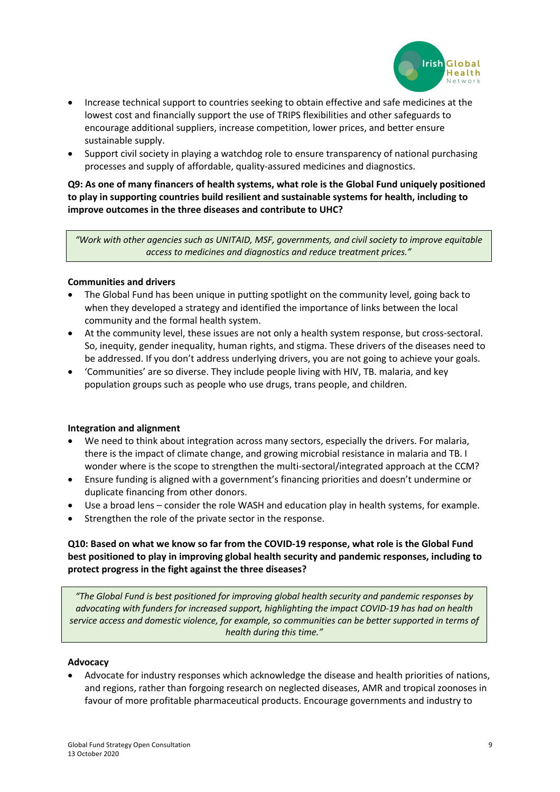

- Increase technical support to countries seeking to obtain effective and safe medicines at the lowest cost and financially support the use of TRIPS flexibilities and other safeguards to encourage additional suppliers, increase competition, lower prices, and better ensure sustainable supply.
- Support civil society in playing a watchdog role to ensure transparency of national purchasing processes and supply of affordable, quality-assured medicines and diagnostics.

**Q9: As one of many financers of health systems, what role is the Global Fund uniquely positioned to play in supporting countries build resilient and sustainable systems for health, including to improve outcomes in the three diseases and contribute to UHC?**

*"Work with other agencies such as UNITAID, MSF, governments, and civil society to improve equitable access to medicines and diagnostics and reduce treatment prices."*

#### **Communities and drivers**

- The Global Fund has been unique in putting spotlight on the community level, going back to when they developed a strategy and identified the importance of links between the local community and the formal health system.
- At the community level, these issues are not only a health system response, but cross-sectoral. So, inequity, gender inequality, human rights, and stigma. These drivers of the diseases need to be addressed. If you don't address underlying drivers, you are not going to achieve your goals.
- 'Communities' are so diverse. They include people living with HIV, TB. malaria, and key population groups such as people who use drugs, trans people, and children.

#### **Integration and alignment**

- We need to think about integration across many sectors, especially the drivers. For malaria, there is the impact of climate change, and growing microbial resistance in malaria and TB. I wonder where is the scope to strengthen the multi-sectoral/integrated approach at the CCM?
- Ensure funding is aligned with a government's financing priorities and doesn't undermine or duplicate financing from other donors.
- Use a broad lens consider the role WASH and education play in health systems, for example.
- Strengthen the role of the private sector in the response.

## **Q10: Based on what we know so far from the COVID-19 response, what role is the Global Fund best positioned to play in improving global health security and pandemic responses, including to protect progress in the fight against the three diseases?**

*"The Global Fund is best positioned for improving global health security and pandemic responses by advocating with funders for increased support, highlighting the impact COVID-19 has had on health service access and domestic violence, for example, so communities can be better supported in terms of health during this time."*

#### **Advocacy**

• Advocate for industry responses which acknowledge the disease and health priorities of nations, and regions, rather than forgoing research on neglected diseases, AMR and tropical zoonoses in favour of more profitable pharmaceutical products. Encourage governments and industry to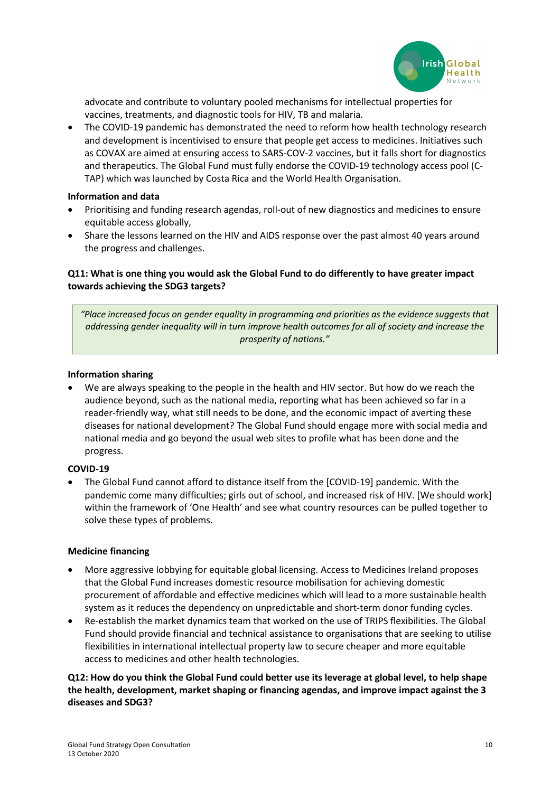

advocate and contribute to voluntary pooled mechanisms for intellectual properties for vaccines, treatments, and diagnostic tools for HIV, TB and malaria.

• The COVID-19 pandemic has demonstrated the need to reform how health technology research and development is incentivised to ensure that people get access to medicines. Initiatives such as COVAX are aimed at ensuring access to SARS-COV-2 vaccines, but it falls short for diagnostics and therapeutics. The Global Fund must fully endorse the COVID-19 technology access pool (C-TAP) which was launched by Costa Rica and the World Health Organisation.

#### **Information and data**

- Prioritising and funding research agendas, roll-out of new diagnostics and medicines to ensure equitable access globally,
- Share the lessons learned on the HIV and AIDS response over the past almost 40 years around the progress and challenges.

## **Q11: What is one thing you would ask the Global Fund to do differently to have greater impact towards achieving the SDG3 targets?**

*"Place increased focus on gender equality in programming and priorities as the evidence suggests that addressing gender inequality will in turn improve health outcomes for all of society and increase the prosperity of nations."*

#### **Information sharing**

• We are always speaking to the people in the health and HIV sector. But how do we reach the audience beyond, such as the national media, reporting what has been achieved so far in a reader-friendly way, what still needs to be done, and the economic impact of averting these diseases for national development? The Global Fund should engage more with social media and national media and go beyond the usual web sites to profile what has been done and the progress.

#### **COVID-19**

• The Global Fund cannot afford to distance itself from the [COVID-19] pandemic. With the pandemic come many difficulties; girls out of school, and increased risk of HIV. [We should work] within the framework of 'One Health' and see what country resources can be pulled together to solve these types of problems.

#### **Medicine financing**

- More aggressive lobbying for equitable global licensing. Access to Medicines Ireland proposes that the Global Fund increases domestic resource mobilisation for achieving domestic procurement of affordable and effective medicines which will lead to a more sustainable health system as it reduces the dependency on unpredictable and short-term donor funding cycles.
- Re-establish the market dynamics team that worked on the use of TRIPS flexibilities. The Global Fund should provide financial and technical assistance to organisations that are seeking to utilise flexibilities in international intellectual property law to secure cheaper and more equitable access to medicines and other health technologies.

**Q12: How do you think the Global Fund could better use its leverage at global level, to help shape the health, development, market shaping or financing agendas, and improve impact against the 3 diseases and SDG3?**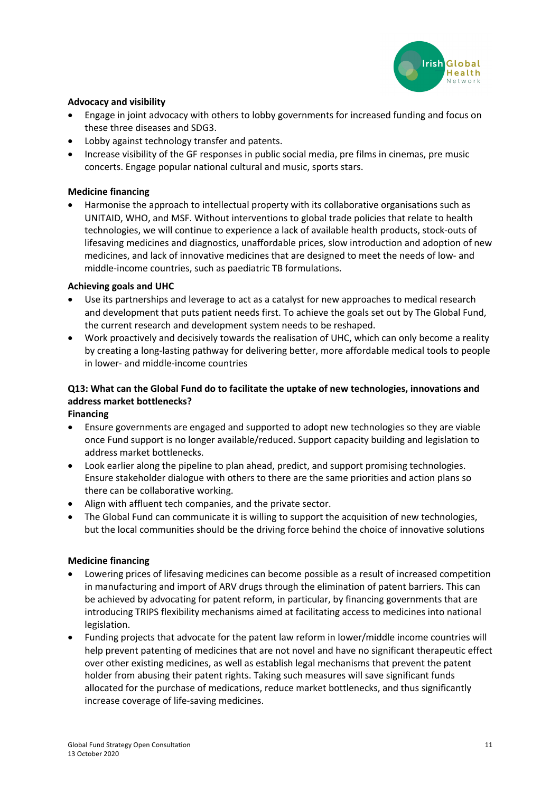

## **Advocacy and visibility**

- Engage in joint advocacy with others to lobby governments for increased funding and focus on these three diseases and SDG3.
- Lobby against technology transfer and patents.
- Increase visibility of the GF responses in public social media, pre films in cinemas, pre music concerts. Engage popular national cultural and music, sports stars.

#### **Medicine financing**

• Harmonise the approach to intellectual property with its collaborative organisations such as UNITAID, WHO, and MSF. Without interventions to global trade policies that relate to health technologies, we will continue to experience a lack of available health products, stock-outs of lifesaving medicines and diagnostics, unaffordable prices, slow introduction and adoption of new medicines, and lack of innovative medicines that are designed to meet the needs of low- and middle-income countries, such as paediatric TB formulations.

#### **Achieving goals and UHC**

- Use its partnerships and leverage to act as a catalyst for new approaches to medical research and development that puts patient needs first. To achieve the goals set out by The Global Fund, the current research and development system needs to be reshaped.
- Work proactively and decisively towards the realisation of UHC, which can only become a reality by creating a long-lasting pathway for delivering better, more affordable medical tools to people in lower- and middle-income countries

## **Q13: What can the Global Fund do to facilitate the uptake of new technologies, innovations and address market bottlenecks?**

**Financing**

- Ensure governments are engaged and supported to adopt new technologies so they are viable once Fund support is no longer available/reduced. Support capacity building and legislation to address market bottlenecks.
- Look earlier along the pipeline to plan ahead, predict, and support promising technologies. Ensure stakeholder dialogue with others to there are the same priorities and action plans so there can be collaborative working.
- Align with affluent tech companies, and the private sector.
- The Global Fund can communicate it is willing to support the acquisition of new technologies, but the local communities should be the driving force behind the choice of innovative solutions

#### **Medicine financing**

- Lowering prices of lifesaving medicines can become possible as a result of increased competition in manufacturing and import of ARV drugs through the elimination of patent barriers. This can be achieved by advocating for patent reform, in particular, by financing governments that are introducing TRIPS flexibility mechanisms aimed at facilitating access to medicines into national legislation.
- Funding projects that advocate for the patent law reform in lower/middle income countries will help prevent patenting of medicines that are not novel and have no significant therapeutic effect over other existing medicines, as well as establish legal mechanisms that prevent the patent holder from abusing their patent rights. Taking such measures will save significant funds allocated for the purchase of medications, reduce market bottlenecks, and thus significantly increase coverage of life-saving medicines.